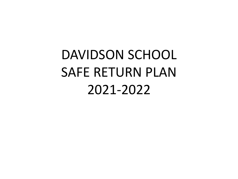# DAVIDSON SCHOOL SAFE RETURN PLAN 2021-2022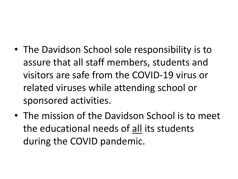- The Davidson School sole responsibility is to assure that all staff members, students and visitors are safe from the COVID-19 virus or related viruses while attending school or sponsored activities.
- The mission of the Davidson School is to meet the educational needs of all its students during the COVID pandemic.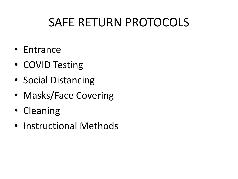### SAFE RETURN PROTOCOLS

- Entrance
- COVID Testing
- Social Distancing
- Masks/Face Covering
- Cleaning
- Instructional Methods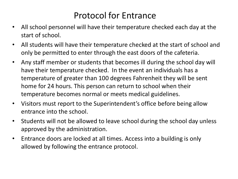#### Protocol for Entrance

- All school personnel will have their temperature checked each day at the start of school.
- All students will have their temperature checked at the start of school and only be permitted to enter through the east doors of the cafeteria.
- Any staff member or students that becomes ill during the school day will have their temperature checked. In the event an individuals has a temperature of greater than 100 degrees Fahrenheit they will be sent home for 24 hours. This person can return to school when their temperature becomes normal or meets medical guidelines.
- Visitors must report to the Superintendent's office before being allow entrance into the school.
- Students will not be allowed to leave school during the school day unless approved by the administration.
- Entrance doors are locked at all times. Access into a building is only allowed by following the entrance protocol.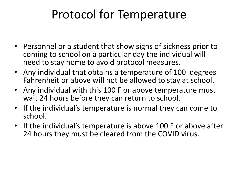### Protocol for Temperature

- Personnel or a student that show signs of sickness prior to coming to school on a particular day the individual will need to stay home to avoid protocol measures.
- Any individual that obtains a temperature of 100 degrees Fahrenheit or above will not be allowed to stay at school.
- Any individual with this 100 F or above temperature must wait 24 hours before they can return to school.
- If the individual's temperature is normal they can come to school.
- If the individual's temperature is above 100 F or above after 24 hours they must be cleared from the COVID virus.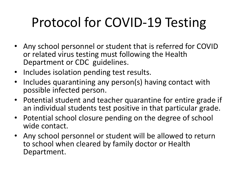# Protocol for COVID-19 Testing

- Any school personnel or student that is referred for COVID or related virus testing must following the Health Department or CDC guidelines.
- Includes isolation pending test results.
- Includes quarantining any person(s) having contact with possible infected person.
- Potential student and teacher quarantine for entire grade if an individual students test positive in that particular grade.
- Potential school closure pending on the degree of school wide contact.
- Any school personnel or student will be allowed to return to school when cleared by family doctor or Health Department.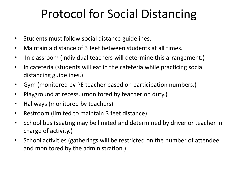### Protocol for Social Distancing

- Students must follow social distance guidelines.
- Maintain a distance of 3 feet between students at all times.
- In classroom (individual teachers will determine this arrangement.)
- In cafeteria (students will eat in the cafeteria while practicing social distancing guidelines.)
- Gym (monitored by PE teacher based on participation numbers.)
- Playground at recess. (monitored by teacher on duty.)
- Hallways (monitored by teachers)
- Restroom (limited to maintain 3 feet distance)
- School bus (seating may be limited and determined by driver or teacher in charge of activity.)
- School activities (gatherings will be restricted on the number of attendee and monitored by the administration.)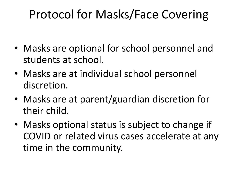### Protocol for Masks/Face Covering

- Masks are optional for school personnel and students at school.
- Masks are at individual school personnel discretion.
- Masks are at parent/guardian discretion for their child.
- Masks optional status is subject to change if COVID or related virus cases accelerate at any time in the community.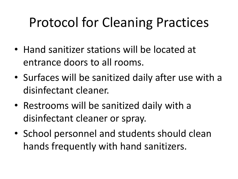### Protocol for Cleaning Practices

- Hand sanitizer stations will be located at entrance doors to all rooms.
- Surfaces will be sanitized daily after use with a disinfectant cleaner.
- Restrooms will be sanitized daily with a disinfectant cleaner or spray.
- School personnel and students should clean hands frequently with hand sanitizers.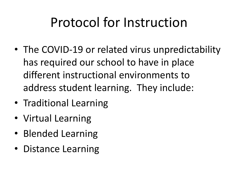### Protocol for Instruction

- The COVID-19 or related virus unpredictability has required our school to have in place different instructional environments to address student learning. They include:
- Traditional Learning
- Virtual Learning
- Blended Learning
- Distance Learning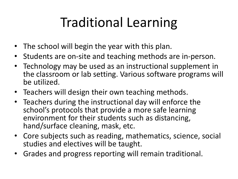## Traditional Learning

- The school will begin the year with this plan.
- Students are on-site and teaching methods are in-person.
- Technology may be used as an instructional supplement in the classroom or lab setting. Various software programs will be utilized.
- Teachers will design their own teaching methods.
- Teachers during the instructional day will enforce the school's protocols that provide a more safe learning environment for their students such as distancing, hand/surface cleaning, mask, etc.
- Core subjects such as reading, mathematics, science, social studies and electives will be taught.
- Grades and progress reporting will remain traditional.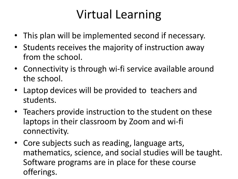### Virtual Learning

- This plan will be implemented second if necessary.
- Students receives the majority of instruction away from the school.
- Connectivity is through wi-fi service available around the school.
- Laptop devices will be provided to teachers and students.
- Teachers provide instruction to the student on these laptops in their classroom by Zoom and wi-fi connectivity.
- Core subjects such as reading, language arts, mathematics, science, and social studies will be taught. Software programs are in place for these course offerings.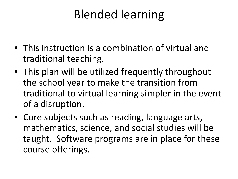### Blended learning

- This instruction is a combination of virtual and traditional teaching.
- This plan will be utilized frequently throughout the school year to make the transition from traditional to virtual learning simpler in the event of a disruption.
- Core subjects such as reading, language arts, mathematics, science, and social studies will be taught. Software programs are in place for these course offerings.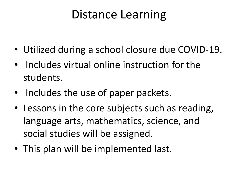### Distance Learning

- Utilized during a school closure due COVID-19.
- Includes virtual online instruction for the students.
- Includes the use of paper packets.
- Lessons in the core subjects such as reading, language arts, mathematics, science, and social studies will be assigned.
- This plan will be implemented last.